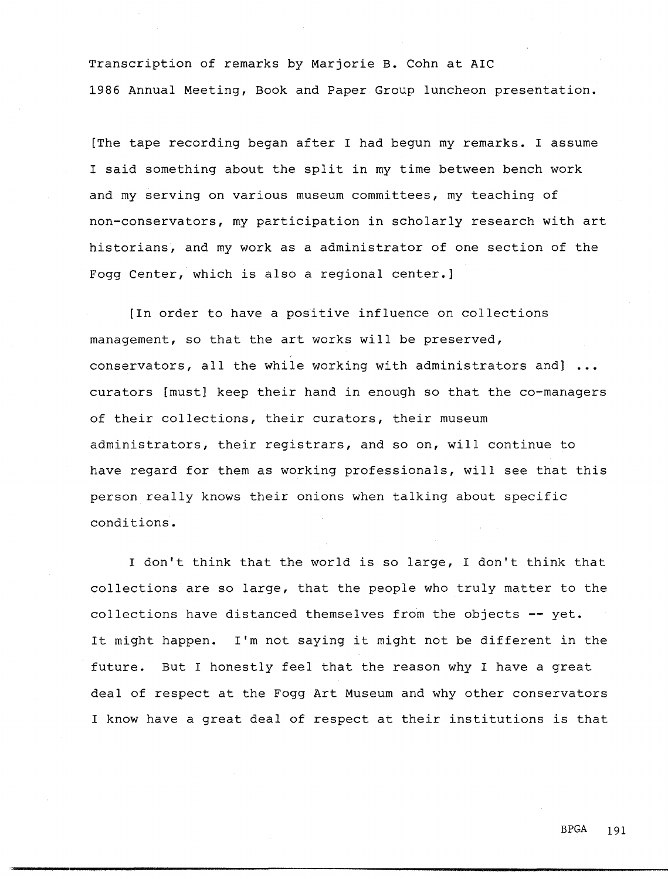Transcription of remarks by Marjorie B. Cohn at AIC 1986 Annual Meeting, Book and Paper Group luncheon presentation.

[The tape recording began after I had begun my remarks. I assume I said something about the split in my time between bench work and my serving on various museum committees, my teaching of non-conservators, my participation in scholarly research with art historians, and my work as a administrator of one section of the Fogg Center, which is also a regional center.]

[In order to have a positive influence on collections management, so that the art works will be preserved, conservators, all the while working with administrators and] ... curators [must] keep their hand in enough so that the co-managers of their collections, their curators, their museum administrators, their registrars, and so on, will continue to have regard for them as working professionals, will see that this person really knows their onions when talking about specific conditions.

I don't think that the world is so large, I don't think that collections are so large, that the people who truly matter to the collections have distanced themselves from the objects -- yet. It might happen. I'm not saying it might not be different in the future. But I honestly feel that the reason why I have a great deal of respect at the Fogg Art Museum and why other conservators I know have a great deal of respect at their institutions is that

BPGA 191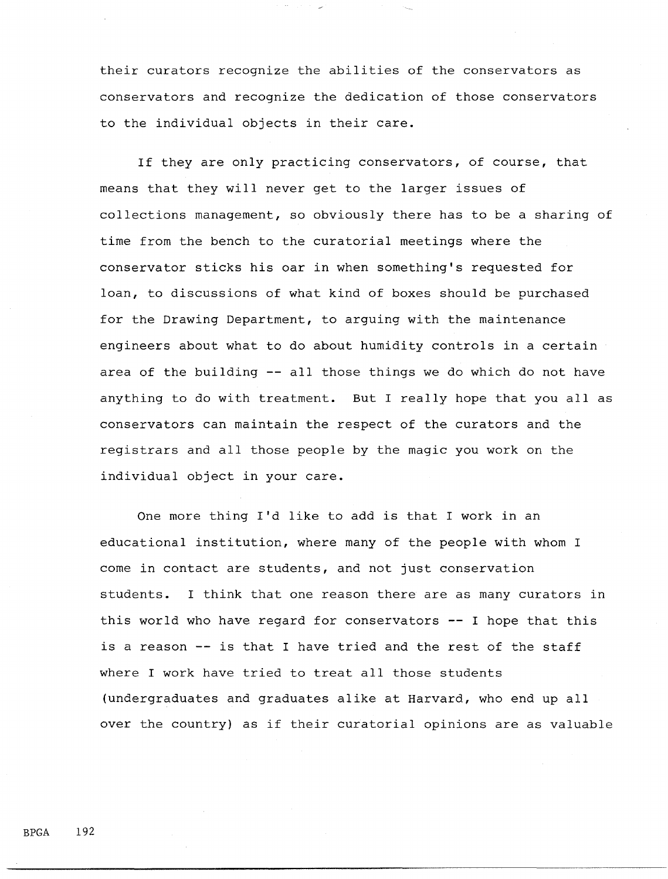their curators recognize the abilities of the conservators as conservators and recognize the dedication of those conservators to the individual objects in their care.

If they are only practicing conservators, of course, that means that they will never get to the larger issues of collections management, so obviously there has to be a sharing of time from the bench to the curatorial meetings where the conservator sticks his oar in when something's requested for loan, to discussions of what kind of boxes should be purchased for the Drawing Department, to arguing with the maintenance engineers about what to do about humidity controls in a certain area of the building  $-$  all those things we do which do not have anything to do with treatment. But I really hope that you all as conservators can maintain the respect of the curators and the registrars and all those people by the magic you work on the individual object in your care.

One more thing I'd like to add is that I work in an educational institution, where many of the people with whom I come in contact are students, and not just conservation students. I think that one reason there are as many curators in this world who have regard for conservators  $-$  I hope that this is a reason -- is that I have tried and the rest of the staff where I work have tried to treat all those students (undergraduates and graduates alike at Harvard, who end up all over the country) as if their curatorial opinions are as valuable

BPGA 192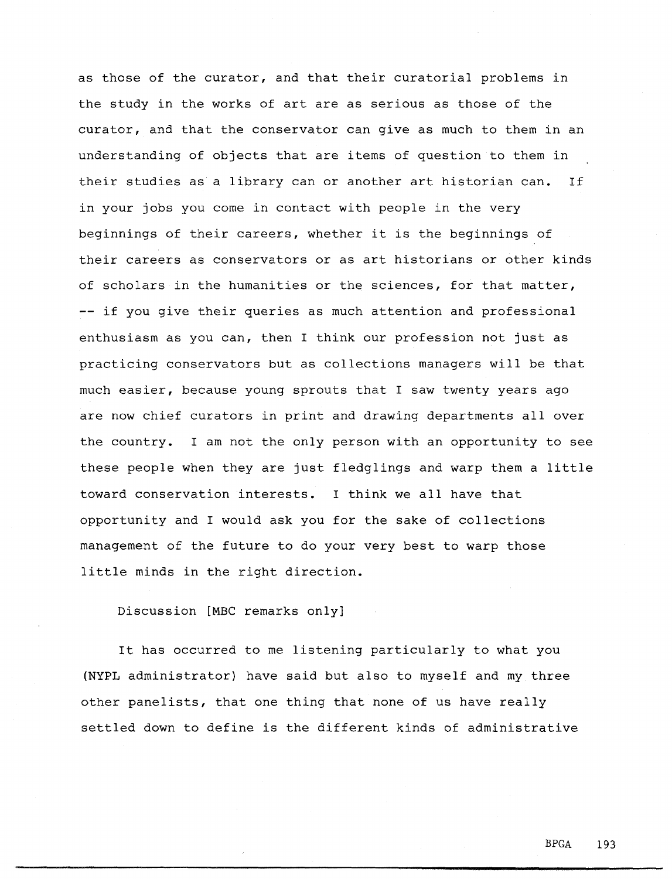as those of the curator, and that their curatorial problems in the study in the works of art are as serious as those of the curator, and that the conservator can give as much to them in an understanding of objects that are items of question to them in their studies as a library can or another art historian can. If in your jobs you come in contact with people in the very beginnings of their careers, whether it is the beginnings of their careers as conservators or as art historians or other kinds of scholars in the humanities or the sciences, for that matter, -- if you give their queries as much attention and professional enthusiasm as you can, then I think our profession not just as practicing conservators but as collections managers will be that much easier, because young sprouts that I saw twenty years ago are now chief curators in print and drawing departments all over the country. I am not the only person with an opportunity to see these people when they are just fledglings and warp them a little toward conservation interests. I think we all have that opportunity and I would ask you for the sake of collections management of the future to do your very best to warp those little minds in the right direction.

Discussion [MBC remarks only]

It has occurred to me listening particularly to what you (NYPL administrator) have said but also to myself and my three other panelists, that one thing that none of us have really settled down to define is the different kinds of administrative